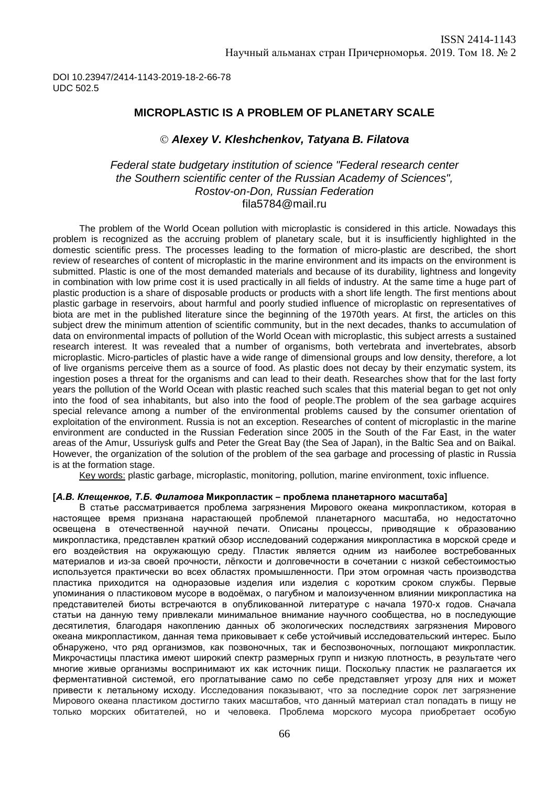## **MICROPLASTIC IS A PROBLEM OF PLANETARY SCALE**

### *Alexey V. Kleshchenkov, Tatyana B. Filatova*

## *Federal state budgetary institution of science "Federal research center the Southern scientific center of the Russian Academy of Sciences", Rostov-on-Don, Russian Federation* [fila5784@mail.ru](mailto:fila5784@mail.ru)

The problem of the World Ocean pollution with microplastic is considered in this article. Nowadays this problem is recognized as the accruing problem of planetary scale, but it is insufficiently highlighted in the domestic scientific press. The processes leading to the formation of micro-plastic are described, the short review of researches of content of microplastic in the marine environment and its impacts on the environment is submitted. Plastic is one of the most demanded materials and because of its durability, lightness and longevity in combination with low prime cost it is used practically in all fields of industry. At the same time a huge part of plastic production is a share of disposable products or products with a short life length. The first mentions about plastic garbage in reservoirs, about harmful and poorly studied influence of microplastic on representatives of biota are met in the published literature since the beginning of the 1970th years. At first, the articles on this subject drew the minimum attention of scientific community, but in the next decades, thanks to accumulation of data on environmental impacts of pollution of the World Ocean with microplastic, this subject arrests a sustained research interest. It was revealed that a number of organisms, both vertebrata and invertebrates, absorb microplastic. Micro-particles of plastic have a wide range of dimensional groups and low density, therefore, a lot of live organisms perceive them as a source of food. As plastic does not decay by their enzymatic system, its ingestion poses a threat for the organisms and can lead to their death. Researches show that for the last forty years the pollution of the World Ocean with plastic reached such scales that this material began to get not only into the food of sea inhabitants, but also into the food of people.The problem of the sea garbage acquires special relevance among a number of the environmental problems caused by the consumer orientation of exploitation of the environment. Russia is not an exception. Researches of content of microplastic in the marine environment are conducted in the Russian Federation since 2005 in the South of the Far East, in the water areas of the Amur, Ussuriysk gulfs and Peter the Great Bay (the Sea of Japan), in the Baltic Sea and on Baikal. However, the organization of the solution of the problem of the sea garbage and processing of plastic in Russia is at the formation stage.

Key words: plastic garbage, microplastic, monitoring, pollution, marine environment, toxic influence.

#### **[***А.В. Клещенков, Т.Б. Филатова* **Микропластик – проблема планетарного масштаба]**

В статье рассматривается проблема загрязнения Мирового океана микропластиком, которая в настоящее время признана нарастающей проблемой планетарного масштаба, но недостаточно освещена в отечественной научной печати. Описаны процессы, приводящие к образованию микропластика, представлен краткий обзор исследований содержания микропластика в морской среде и его воздействия на окружающую среду. Пластик является одним из наиболее востребованных материалов и из-за своей прочности, лёгкости и долговечности в сочетании с низкой себестоимостью используется практически во всех областях промышленности. При этом огромная часть производства пластика приходится на одноразовые изделия или изделия с коротким сроком службы. Первые упоминания о пластиковом мусоре в водоёмах, о пагубном и малоизученном влиянии микропластика на представителей биоты встречаются в опубликованной литературе с начала 1970-х годов. Сначала статьи на данную тему привлекали минимальное внимание научного сообщества, но в последующие десятилетия, благодаря накоплению данных об экологических последствиях загрязнения Мирового океана микропластиком, данная тема приковывает к себе устойчивый исследовательский интерес. Было обнаружено, что ряд организмов, как позвоночных, так и беспозвоночных, поглощают микропластик. Микрочастицы пластика имеют широкий спектр размерных групп и низкую плотность, в результате чего многие живые организмы воспринимают их как источник пищи. Поскольку пластик не разлагается их ферментативной системой, его проглатывание само по себе представляет угрозу для них и может привести к летальному исходу. Исследования показывают, что за последние сорок лет загрязнение Мирового океана пластиком достигло таких масштабов, что данный материал стал попадать в пищу не только морских обитателей, но и человека. Проблема морского мусора приобретает особую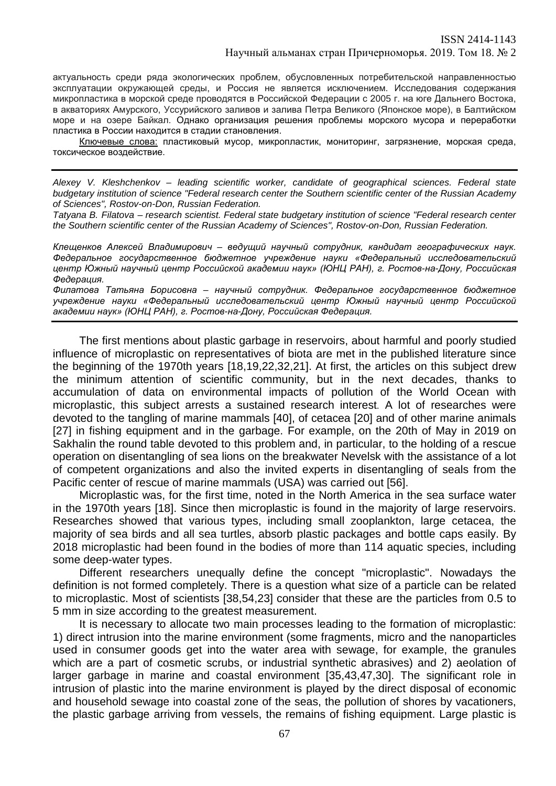актуальность среди ряда экологических проблем, обусловленных потребительской направленностью эксплуатации окружающей среды, и Россия не является исключением. Исследования содержания микропластика в морской среде проводятся в Российской Федерации с 2005 г. на юге Дальнего Востока, в акваториях Амурского, Уссурийского заливов и залива Петра Великого (Японское море), в Балтийском море и на озере Байкал. Однако организация решения проблемы морского мусора и переработки пластика в России находится в стадии становления.

Ключевые слова: пластиковый мусор, микропластик, мониторинг, загрязнение, морская среда, токсическое воздействие.

*Alexey V. Kleshchenkov – leading scientific worker, candidate of geographical sciences. Federal state budgetary institution of science "Federal research center the Southern scientific center of the Russian Academy of Sciences", Rostov-on-Don, Russian Federation.*

*Tatyana B. Filatova – research scientist. Federal state budgetary institution of science "Federal research center the Southern scientific center of the Russian Academy of Sciences", Rostov-on-Don, Russian Federation.*

*Клещенков Алексей Владимирович – ведущий научный сотрудник, кандидат географических наук. Федеральное государственное бюджетное учреждение науки «Федеральный исследовательский центр Южный научный центр Российской академии наук» (ЮНЦ РАН), г. Ростов-на-Дону, Российская Федерация.* 

*Филатова Татьяна Борисовна – научный сотрудник. Федеральное государственное бюджетное учреждение науки «Федеральный исследовательский центр Южный научный центр Российской академии наук» (ЮНЦ РАН), г. Ростов-на-Дону, Российская Федерация.* 

The first mentions about plastic garbage in reservoirs, about harmful and poorly studied influence of microplastic on representatives of biota are met in the published literature since the beginning of the 1970th years [18,19,22,32,21]. At first, the articles on this subject drew the minimum attention of scientific community, but in the next decades, thanks to accumulation of data on environmental impacts of pollution of the World Ocean with microplastic, this subject arrests a sustained research interest. A lot of researches were devoted to the tangling of marine mammals [40], of cetacea [20] and of other marine animals [27] in fishing equipment and in the garbage. For example, on the 20th of May in 2019 on Sakhalin the round table devoted to this problem and, in particular, to the holding of a rescue operation on disentangling of sea lions on the breakwater Nevelsk with the assistance of a lot of competent organizations and also the invited experts in disentangling of seals from the Pacific center of rescue of marine mammals (USA) was carried out [56].

Microplastic was, for the first time, noted in the North America in the sea surface water in the 1970th years [18]. Since then microplastic is found in the majority of large reservoirs. Researches showed that various types, including small zooplankton, large cetacea, the majority of sea birds and all sea turtles, absorb plastic packages and bottle caps easily. By 2018 microplastic had been found in the bodies of more than 114 aquatic species, including some deep-water types.

Different researchers unequally define the concept "microplastic". Nowadays the definition is not formed completely. There is a question what size of a particle can be related to microplastic. Most of scientists [38,54,23] consider that these are the particles from 0.5 to 5 mm in size according to the greatest measurement.

It is necessary to allocate two main processes leading to the formation of microplastic: 1) direct intrusion into the marine environment (some fragments, micro and the nanoparticles used in consumer goods get into the water area with sewage, for example, the granules which are a part of cosmetic scrubs, or industrial synthetic abrasives) and 2) aeolation of larger garbage in marine and coastal environment [35,43,47,30]. The significant role in intrusion of plastic into the marine environment is played by the direct disposal of economic and household sewage into coastal zone of the seas, the pollution of shores by vacationers, the plastic garbage arriving from vessels, the remains of fishing equipment. Large plastic is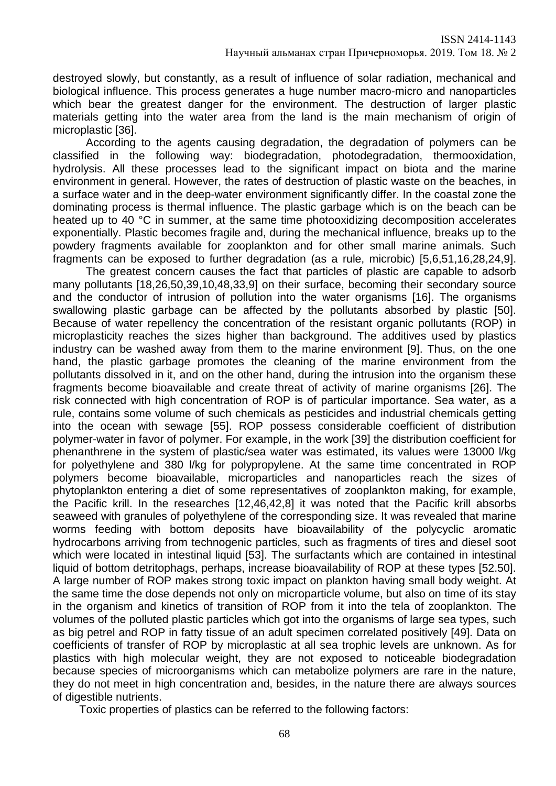destroyed slowly, but constantly, as a result of influence of solar radiation, mechanical and biological influence. This process generates a huge number macro-micro and nanoparticles which bear the greatest danger for the environment. The destruction of larger plastic materials getting into the water area from the land is the main mechanism of origin of microplastic [36].

According to the agents causing degradation, the degradation of polymers can be classified in the following way: biodegradation, photodegradation, thermooxidation, hydrolysis. All these processes lead to the significant impact on biota and the marine environment in general. However, the rates of destruction of plastic waste on the beaches, in a surface water and in the deep-water environment significantly differ. In the coastal zone the dominating process is thermal influence. The plastic garbage which is on the beach can be heated up to 40 °C in summer, at the same time photooxidizing decomposition accelerates exponentially. Plastic becomes fragile and, during the mechanical influence, breaks up to the powdery fragments available for zooplankton and for other small marine animals. Such fragments can be exposed to further degradation (as a rule, microbic) [5,6,51,16,28,24,9].

The greatest concern causes the fact that particles of plastic are capable to adsorb many pollutants [18,26,50,39,10,48,33,9] on their surface, becoming their secondary source and the conductor of intrusion of pollution into the water organisms [16]. The organisms swallowing plastic garbage can be affected by the pollutants absorbed by plastic [50]. Because of water repellency the concentration of the resistant organic pollutants (ROP) in microplasticity reaches the sizes higher than background. The additives used by plastics industry can be washed away from them to the marine environment [9]. Thus, on the one hand, the plastic garbage promotes the cleaning of the marine environment from the pollutants dissolved in it, and on the other hand, during the intrusion into the organism these fragments become bioavailable and create threat of activity of marine organisms [26]. The risk connected with high concentration of ROP is of particular importance. Sea water, as a rule, contains some volume of such chemicals as pesticides and industrial chemicals getting into the ocean with sewage [55]. ROP possess considerable coefficient of distribution polymer-water in favor of polymer. For example, in the work [39] the distribution coefficient for phenanthrene in the system of plastic/sea water was estimated, its values were 13000 l/kg for polyethylene and 380 l/kg for polypropylene. At the same time concentrated in ROP polymers become bioavailable, microparticles and nanoparticles reach the sizes of phytoplankton entering a diet of some representatives of zooplankton making, for example, the Pacific krill. In the researches [12,46,42,8] it was noted that the Pacific krill absorbs seaweed with granules of polyethylene of the corresponding size. It was revealed that marine worms feeding with bottom deposits have bioavailability of the polycyclic aromatic hydrocarbons arriving from technogenic particles, such as fragments of tires and diesel soot which were located in intestinal liquid [53]. The surfactants which are contained in intestinal liquid of bottom detritophags, perhaps, increase bioavailability of ROP at these types [52.50]. A large number of ROP makes strong toxic impact on plankton having small body weight. At the same time the dose depends not only on microparticle volume, but also on time of its stay in the organism and kinetics of transition of ROP from it into the tela of zooplankton. The volumes of the polluted plastic particles which got into the organisms of large sea types, such as big petrel and ROP in fatty tissue of an adult specimen correlated positively [49]. Data on coefficients of transfer of ROP by microplastic at all sea trophic levels are unknown. As for plastics with high molecular weight, they are not exposed to noticeable biodegradation because species of microorganisms which can metabolize polymers are rare in the nature, they do not meet in high concentration and, besides, in the nature there are always sources of digestible nutrients.

Toxic properties of plastics can be referred to the following factors: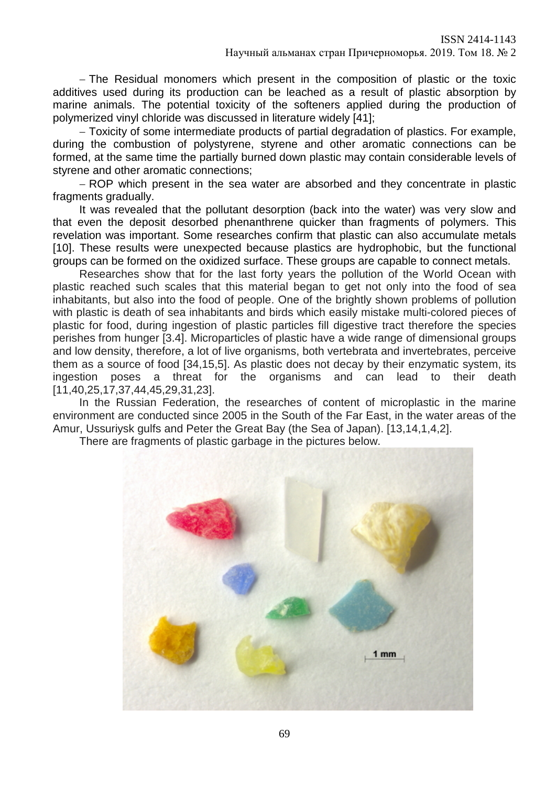− The Residual monomers which present in the composition of plastic or the toxic additives used during its production can be leached as a result of plastic absorption by marine animals. The potential toxicity of the softeners applied during the production of polymerized vinyl chloride was discussed in literature widely [41];

− Toxicity of some intermediate products of partial degradation of plastics. For example, during the combustion of polystyrene, styrene and other aromatic connections can be formed, at the same time the partially burned down plastic may contain considerable levels of styrene and other aromatic connections;

− ROP which present in the sea water are absorbed and they concentrate in plastic fragments gradually.

It was revealed that the pollutant desorption (back into the water) was very slow and that even the deposit desorbed phenanthrene quicker than fragments of polymers. This revelation was important. Some researches confirm that plastic can also accumulate metals [10]. These results were unexpected because plastics are hydrophobic, but the functional groups can be formed on the oxidized surface. These groups are capable to connect metals.

Researches show that for the last forty years the pollution of the World Ocean with plastic reached such scales that this material began to get not only into the food of sea inhabitants, but also into the food of people. One of the brightly shown problems of pollution with plastic is death of sea inhabitants and birds which easily mistake multi-colored pieces of plastic for food, during ingestion of plastic particles fill digestive tract therefore the species perishes from hunger [3.4]. Microparticles of plastic have a wide range of dimensional groups and low density, therefore, a lot of live organisms, both vertebrata and invertebrates, perceive them as a source of food [34,15,5]. As plastic does not decay by their enzymatic system, its ingestion poses a threat for the organisms and can lead to their death [11,40,25,17,37,44,45,29,31,23].

In the Russian Federation, the researches of content of microplastic in the marine environment are conducted since 2005 in the South of the Far East, in the water areas of the Amur, Ussuriysk gulfs and Peter the Great Bay (the Sea of Japan). [13,14,1,4,2].

There are fragments of plastic garbage in the pictures below.

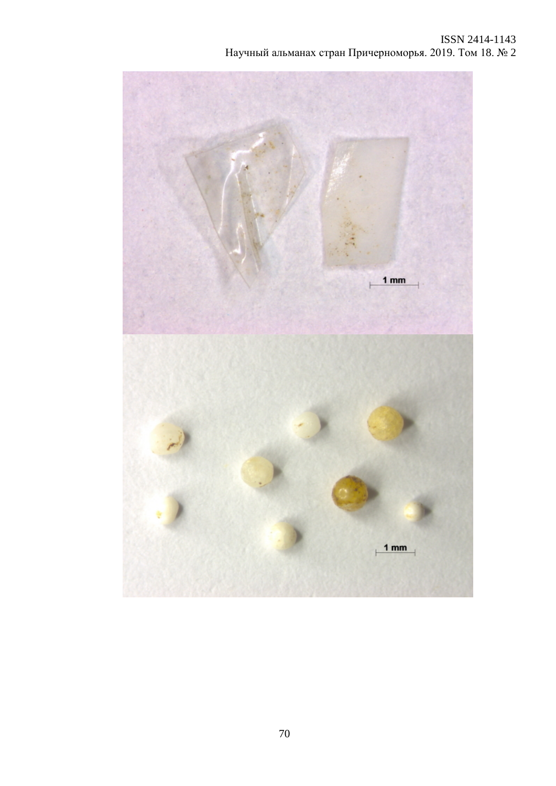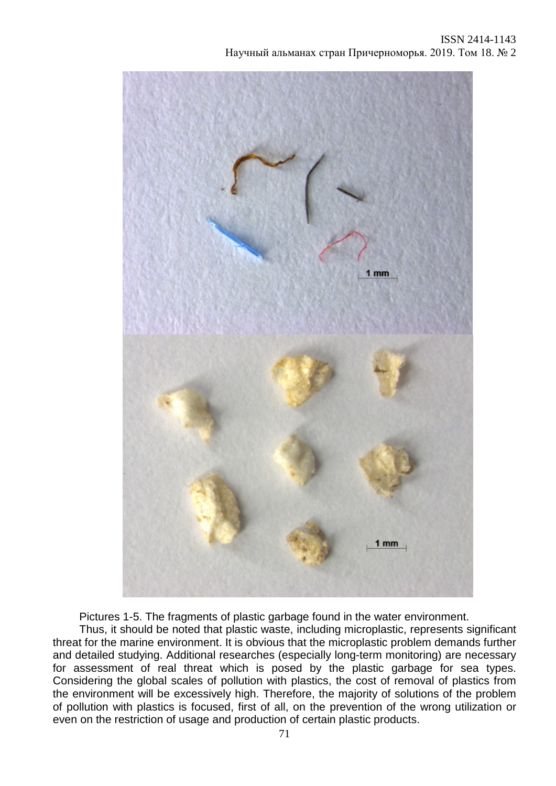

Pictures 1-5. The fragments of plastic garbage found in the water environment.

Thus, it should be noted that plastic waste, including microplastic, represents significant threat for the marine environment. It is obvious that the microplastic problem demands further and detailed studying. Additional researches (especially long-term monitoring) are necessary for assessment of real threat which is posed by the plastic garbage for sea types. Considering the global scales of pollution with plastics, the cost of removal of plastics from the environment will be excessively high. Therefore, the majority of solutions of the problem of pollution with plastics is focused, first of all, on the prevention of the wrong utilization or even on the restriction of usage and production of certain plastic products.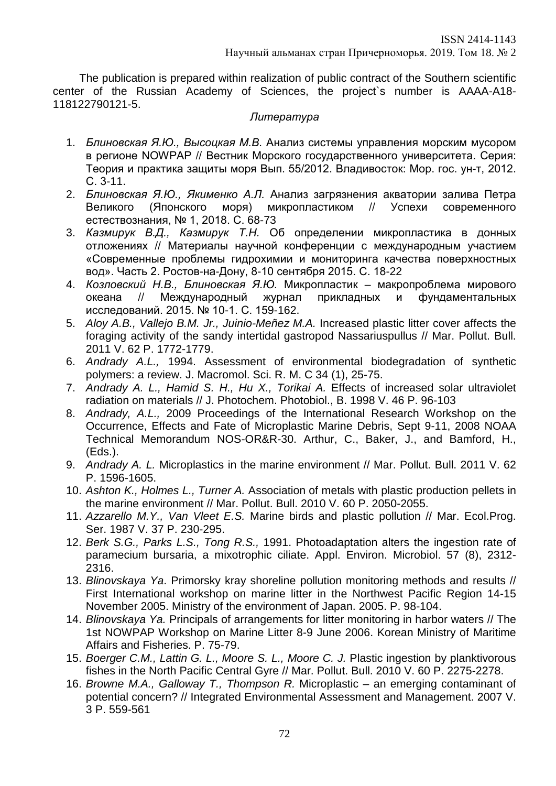The publication is prepared within realization of [public contract](https://www.multitran.com/m.exe?s=public%20contract&l1=1&l2=2) of the Southern scientific center of the Russian Academy of Sciences, the project`s number is AAAA-A18- 118122790121-5.

# *Литература*

- 1. *Блиновская Я.Ю., Высоцкая М.В.* Анализ системы управления морским мусором в регионе NOWPAP // Вестник Морского государственного университета. Серия: Теория и практика защиты моря Вып. 55/2012. Владивосток: Мор. гос. ун-т, 2012. С. 3-11.
- 2. *Блиновская Я.Ю., Якименко А.Л.* Анализ загрязнения акватории залива Петра Великого (Японского моря) микропластиком // Успехи современного естествознания, № 1, 2018. С. 68-73
- 3. *Казмирук В.Д., Казмирук Т.Н.* Об определении микропластика в донных отложениях // Материалы научной конференции с международным участием «Современные проблемы гидрохимии и мониторинга качества поверхностных вод». Часть 2. Ростов-на-Дону, 8-10 сентября 2015. С. 18-22
- 4. *Козловский Н.В., Блиновская Я.Ю.* Микропластик макропроблема мирового океана // Международный журнал прикладных и фундаментальных исследований. 2015. № 10-1. С. 159-162.
- 5. *Aloy A.B., Vallejo B.M. Jr., Juinio-Meñez M.A.* Increased plastic litter cover affects the foraging activity of the sandy intertidal gastropod Nassariuspullus // Mar. Pollut. Bull. 2011 V. 62 P. 1772-1779.
- 6. *Andrady A.L.,* 1994. Assessment of environmental biodegradation of synthetic polymers: a review. J. Macromol. Sci. R. M. C 34 (1), 25-75.
- 7. *Andrady A. L., Hamid S. H., Hu X., Torikai A.* Effects of increased solar ultraviolet radiation on materials // J. Photochem. Photobiol., B. 1998 V. 46 P. 96-103
- 8. *Andrady, A.L.,* 2009 Proceedings of the International Research Workshop on the Occurrence, Effects and Fate of Microplastic Marine Debris, Sept 9-11, 2008 NOAA Technical Memorandum NOS-OR&R-30. Arthur, C., Baker, J., and Bamford, H., (Eds.).
- 9. *Andrady A. L.* Microplastics in the marine environment // Mar. Pollut. Bull. 2011 V. 62 P. 1596-1605.
- 10. *Ashton K., Holmes L., Turner A.* Association of metals with plastic production pellets in the marine environment // Mar. Pollut. Bull. 2010 V. 60 P. 2050-2055.
- 11. *Azzarello M.Y., Van Vleet E.S.* Marine birds and plastic pollution // Mar. Ecol.Prog. Ser. 1987 V. 37 P. 230-295.
- 12. *Berk S.G., Parks L.S., Tong R.S.,* 1991. Photoadaptation alters the ingestion rate of paramecium bursaria, a mixotrophic ciliate. Appl. Environ. Microbiol. 57 (8), 2312- 2316.
- 13. *Blinovskaya Ya*. Primorsky kray shoreline pollution monitoring methods and results // First International workshop on marine litter in the Northwest Pacific Region 14-15 November 2005. Ministry of the environment of Japan. 2005. P. 98-104.
- 14. *Blinovskaya Ya.* Principals of arrangements for litter monitoring in harbor waters // The 1st NOWPAP Workshop on Marine Litter 8-9 June 2006. Korean Ministry of Maritime Affairs and Fisheries. P. 75-79.
- 15. *Boerger C.M., Lattin G. L., Moore S. L., Moore C. J.* Plastic ingestion by planktivorous fishes in the North Pacific Central Gyre // Mar. Pollut. Bull. 2010 V. 60 P. 2275-2278.
- 16. *Browne M.A., Galloway T., Thompson R.* Microplastic an emerging contaminant of potential concern? // Integrated Environmental Assessment and Management. 2007 V. 3 P. 559-561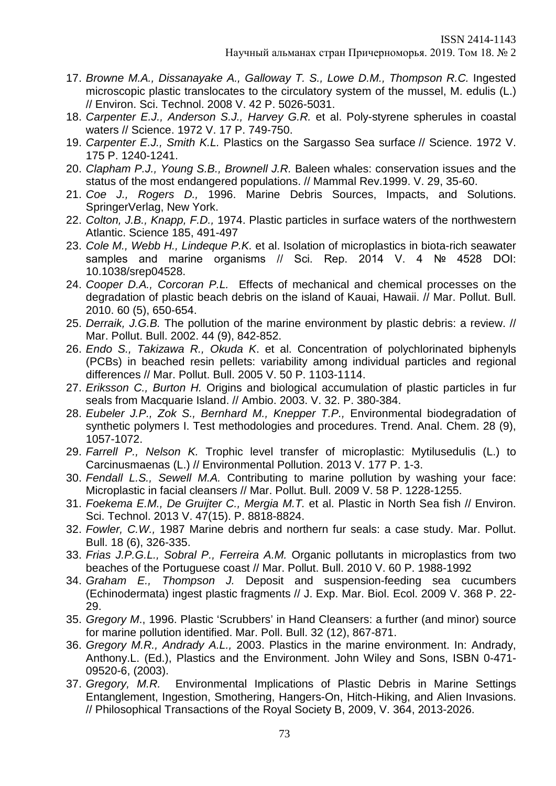- 17. *Browne M.A., Dissanayake A., Galloway T. S., Lowe D.M., Thompson R.C.* Ingested microscopic plastic translocates to the circulatory system of the mussel, M. edulis (L.) // Environ. Sci. Technol. 2008 V. 42 P. 5026-5031.
- 18. *Carpenter E.J., Anderson S.J., Harvey G.R.* et al. Poly-styrene spherules in coastal waters // Science. 1972 V. 17 P. 749-750.
- 19. *Carpenter E.J., Smith K.L.* Plastics on the Sargasso Sea surface // Science. 1972 V. 175 P. 1240-1241.
- 20. *Clapham P.J., Young S.B., Brownell J.R.* Baleen whales: conservation issues and the status of the most endangered populations. // Mammal Rev.1999. V. 29, 35-60.
- 21. *Coe J., Rogers D.,* 1996. Marine Debris Sources, Impacts, and Solutions. SpringerVerlag, New York.
- 22. *Colton, J.B., Knapp, F.D.,* 1974. Plastic particles in surface waters of the northwestern Atlantic. Science 185, 491-497
- 23. *Cole M., Webb H., Lindeque P.K.* et al. Isolation of microplastics in biota-rich seawater samples and marine organisms // Sci. Rep. 2014 V. 4 № 4528 DOI: 10.1038/srep04528.
- 24. *Cooper D.A., Corcoran P.L.* Effects of mechanical and chemical processes on the degradation of plastic beach debris on the island of Kauai, Hawaii. // Mar. Pollut. Bull. 2010. 60 (5), 650-654.
- 25. *Derraik, J.G.B.* The pollution of the marine environment by plastic debris: a review. // Mar. Pollut. Bull. 2002. 44 (9), 842-852.
- 26. *Endo S., Takizawa R., Okuda K*. et al. Concentration of polychlorinated biphenyls (PCBs) in beached resin pellets: variability among individual particles and regional differences // Mar. Pollut. Bull. 2005 V. 50 P. 1103-1114.
- 27. *Eriksson C., Burton H.* Origins and biological accumulation of plastic particles in fur seals from Macquarie Island. // Ambio. 2003. V. 32. P. 380-384.
- 28. *Eubeler J.P., Zok S., Bernhard M., Knepper T.P.,* Environmental biodegradation of synthetic polymers I. Test methodologies and procedures. Trend. Anal. Chem. 28 (9), 1057-1072.
- 29. *Farrell P., Nelson K.* Trophic level transfer of microplastic: Mytilusedulis (L.) to Carcinusmaenas (L.) // Environmental Pollution. 2013 V. 177 P. 1-3.
- 30. *Fendall L.S., Sewell M.A.* Contributing to marine pollution by washing your face: Microplastic in facial cleansers // Mar. Pollut. Bull. 2009 V. 58 P. 1228-1255.
- 31. *Foekema E.M., De Gruijter C., Mergia M.T.* et al. Plastic in North Sea fish // Environ. Sci. Technol. 2013 V. 47(15). P. 8818-8824.
- 32. *Fowler, C.W.,* 1987 Marine debris and northern fur seals: a case study. Mar. Pollut. Bull. 18 (6), 326-335.
- 33. *Frias J.P.G.L., Sobral P., Ferreira A.M.* Organic pollutants in microplastics from two beaches of the Portuguese coast // Mar. Pollut. Bull. 2010 V. 60 P. 1988-1992
- 34. *Graham E., Thompson J.* Deposit and suspension-feeding sea cucumbers (Echinodermata) ingest plastic fragments // J. Exp. Mar. Biol. Ecol. 2009 V. 368 P. 22- 29.
- 35. *Gregory M*., 1996. Plastic 'Scrubbers' in Hand Cleansers: a further (and minor) source for marine pollution identified. Mar. Poll. Bull. 32 (12), 867-871.
- 36. *Gregory M.R., Andrady A.L.,* 2003. Plastics in the marine environment. In: Andrady, Anthony.L. (Ed.), Plastics and the Environment. John Wiley and Sons, ISBN 0-471- 09520-6, (2003).
- 37. *Gregory, M.R.* Environmental Implications of Plastic Debris in Marine Settings Entanglement, Ingestion, Smothering, Hangers-On, Hitch-Hiking, and Alien Invasions. // Philosophical Transactions of the Royal Society B, 2009, V. 364, 2013-2026.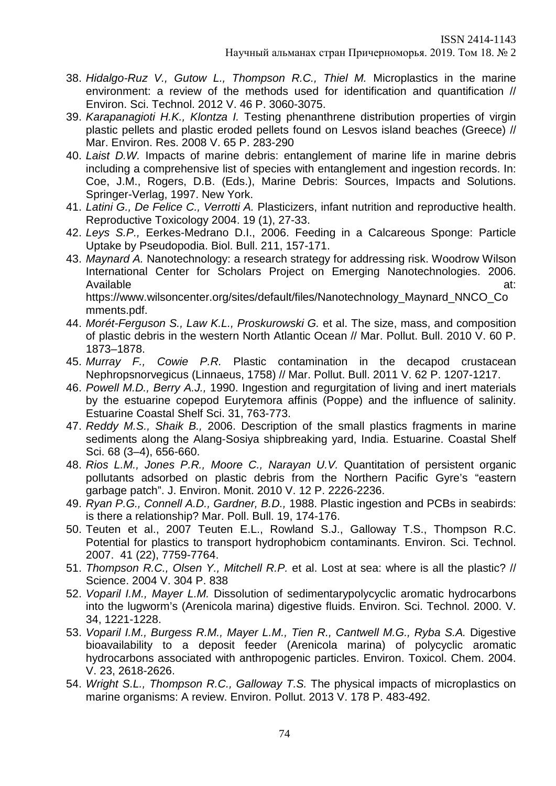- 38. *Hidalgo-Ruz V., Gutow L., Thompson R.C., Thiel M.* Microplastics in the marine environment: a review of the methods used for identification and quantification // Environ. Sci. Technol. 2012 V. 46 P. 3060-3075.
- 39. *Karapanagioti H.K., Klontza I.* Testing phenanthrene distribution properties of virgin plastic pellets and plastic eroded pellets found on Lesvos island beaches (Greece) // Mar. Environ. Res. 2008 V. 65 P. 283-290
- 40. *Laist D.W.* Impacts of marine debris: entanglement of marine life in marine debris including a comprehensive list of species with entanglement and ingestion records. In: Coe, J.M., Rogers, D.B. (Eds.), Marine Debris: Sources, Impacts and Solutions. Springer-Verlag, 1997. New York.
- 41. *Latini G., De Felice C., Verrotti A.* Plasticizers, infant nutrition and reproductive health. Reproductive Toxicology 2004. 19 (1), 27-33.
- 42. *Leys S.P.,* Eerkes-Medrano D.I., 2006. Feeding in a Calcareous Sponge: Particle Uptake by Pseudopodia. Biol. Bull. 211, 157-171.
- 43. *Maynard A.* Nanotechnology: a research strategy for addressing risk. Woodrow Wilson International Center for Scholars Project on Emerging Nanotechnologies. 2006. Available at: [https://www.wilsoncenter.org/sites/default/files/Nanotechnology\\_Maynard\\_NNCO\\_Co](https://www.wilsoncenter.org/sites/default/files/Nanotechnology_Maynard_NNCO_Comments.pdf) [mments.pdf.](https://www.wilsoncenter.org/sites/default/files/Nanotechnology_Maynard_NNCO_Comments.pdf)
- 44. *Morét-Ferguson S., Law K.L., Proskurowski G.* et al. The size, mass, and composition of plastic debris in the western North Atlantic Ocean // Mar. Pollut. Bull. 2010 V. 60 P. 1873–1878.
- 45. *Murray F., Cowie P.R.* Plastic contamination in the decapod crustacean Nephropsnorvegicus (Linnaeus, 1758) // Mar. Pollut. Bull. 2011 V. 62 P. 1207-1217.
- 46. *Powell M.D., Berry A.J.,* 1990. Ingestion and regurgitation of living and inert materials by the estuarine copepod Eurytemora affinis (Poppe) and the influence of salinity. Estuarine Coastal Shelf Sci. 31, 763-773.
- 47. *Reddy M.S., Shaik B.,* 2006. Description of the small plastics fragments in marine sediments along the Alang-Sosiya shipbreaking yard, India. Estuarine. Coastal Shelf Sci. 68 (3–4), 656-660.
- 48. *Rios L.M., Jones P.R., Moore C., Narayan U.V.* Quantitation of persistent organic pollutants adsorbed on plastic debris from the Northern Pacific Gyre's "eastern garbage patch". J. Environ. Monit. 2010 V. 12 P. 2226-2236.
- 49. *Ryan P.G., Connell A.D., Gardner, B.D.,* 1988. Plastic ingestion and PCBs in seabirds: is there a relationship? Mar. Poll. Bull. 19, 174-176.
- 50. Teuten et al., 2007 Teuten E.L., Rowland S.J., Galloway T.S., Thompson R.C. Potential for plastics to transport hydrophobicm contaminants. Environ. Sci. Technol. 2007. 41 (22), 7759-7764.
- 51. *Thompson R.C., Olsen Y., Mitchell R.P.* et al. Lost at sea: where is all the plastic? // Science. 2004 V. 304 P. 838
- 52. *Voparil I.M., Mayer L.M.* Dissolution of sedimentarypolycyclic aromatic hydrocarbons into the lugworm's (Arenicola marina) digestive fluids. Environ. Sci. Technol. 2000. V. 34, 1221-1228.
- 53. *Voparil I.M., Burgess R.M., Mayer L.M., Tien R., Cantwell M.G., Ryba S.A.* Digestive bioavailability to a deposit feeder (Arenicola marina) of polycyclic aromatic hydrocarbons associated with anthropogenic particles. Environ. Toxicol. Chem. 2004. V. 23, 2618-2626.
- 54. *Wright S.L., Thompson R.C., Galloway T.S.* The physical impacts of microplastics on marine organisms: A review. Environ. Pollut. 2013 V. 178 P. 483-492.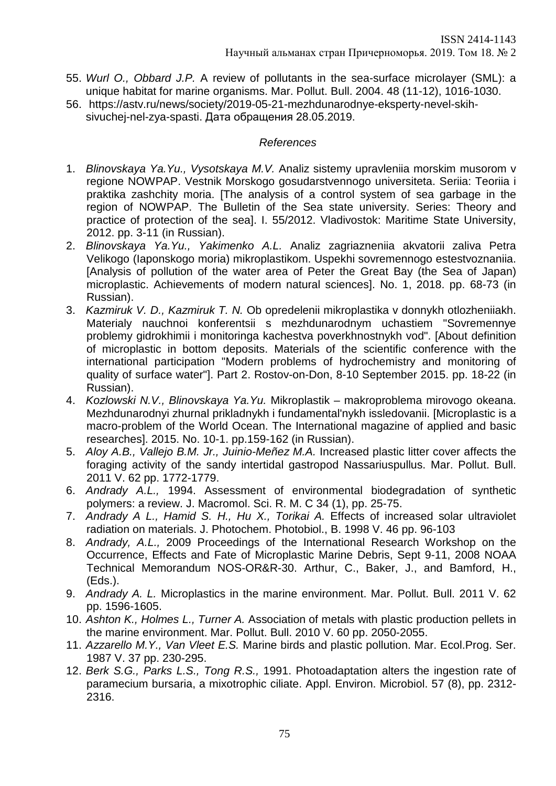- 55. *Wurl O., Obbard J.P.* A review of pollutants in the sea-surface microlayer (SML): a unique habitat for marine organisms. Mar. Pollut. Bull. 2004. 48 (11-12), 1016-1030.
- 56. [https://astv.ru/news/society/2019-05-21-mezhdunarodnye-eksperty-nevel-skih](https://astv.ru/news/society/2019-05-21-mezhdunarodnye-eksperty-nevel-skih-sivuchej-nel-zya-spasti.%20%D0%94%D0%B0%D1%82%D0%B0)[sivuchej-nel-zya-spasti.](https://astv.ru/news/society/2019-05-21-mezhdunarodnye-eksperty-nevel-skih-sivuchej-nel-zya-spasti.%20%D0%94%D0%B0%D1%82%D0%B0) Дата обращения 28.05.2019.

# *References*

- 1. *Blinovskaya Ya.Yu., Vysotskaya M.V.* Analiz sistemy upravleniia morskim musorom v regione NOWPAP. Vestnik Morskogo gosudarstvennogo universiteta. Seriia: Teoriia i praktika zashchity moria. [The analysis of a control system of sea garbage in the region of NOWPAP. The Bulletin of the Sea state university. Series: Theory and practice of protection of the sea]. I. 55/2012. Vladivostok: Maritime State University, 2012. pp. 3-11 (in Russian).
- 2. *Blinovskaya Ya.Yu., Yakimenko A.L.* Analiz zagriazneniia akvatorii zaliva Petra Velikogo (Iaponskogo moria) mikroplastikom. Uspekhi sovremennogo estestvoznaniia. [Analysis of pollution of the water area of Peter the Great Bay (the Sea of Japan) microplastic. Achievements of modern natural sciences]. No. 1, 2018. pp. 68-73 (in Russian).
- 3. *Kazmiruk V. D., Kazmiruk T. N.* Ob opredelenii mikroplastika v donnykh otlozheniiakh. Materialy nauchnoi konferentsii s mezhdunarodnym uchastiem "Sovremennye problemy gidrokhimii i monitoringa kachestva poverkhnostnykh vod". [About definition of microplastic in bottom deposits. Materials of the scientific conference with the international participation "Modern problems of hydrochemistry and monitoring of quality of surface water"]. Part 2. Rostov-on-Don, 8-10 September 2015. pp. 18-22 (in Russian).
- 4. *Kozlowski N.V., Blinovskaya Ya.Yu.* Mikroplastik makroproblema mirovogo okeana. Mezhdunarodnyi zhurnal prikladnykh i fundamental'nykh issledovanii. [Microplastic is a macro-problem of the World Ocean. The International magazine of applied and basic researches]. 2015. No. 10-1. pp.159-162 (in Russian).
- 5. *Aloy A.B., Vallejo B.M. Jr., Juinio-Meñez M.A.* Increased plastic litter cover affects the foraging activity of the sandy intertidal gastropod Nassariuspullus. Mar. Pollut. Bull. 2011 V. 62 pp. 1772-1779.
- 6. *Andrady A.L.,* 1994. Assessment of environmental biodegradation of synthetic polymers: a review. J. Macromol. Sci. R. M. C 34 (1), pp. 25-75.
- 7. *Andrady A L., Hamid S. H., Hu X., Torikai A.* Effects of increased solar ultraviolet radiation on materials. J. Photochem. Photobiol., B. 1998 V. 46 pp. 96-103
- 8. *Andrady, A.L.,* 2009 Proceedings of the International Research Workshop on the Occurrence, Effects and Fate of Microplastic Marine Debris, Sept 9-11, 2008 NOAA Technical Memorandum NOS-OR&R-30. Arthur, C., Baker, J., and Bamford, H., (Eds.).
- 9. *Andrady A. L.* Microplastics in the marine environment. Mar. Pollut. Bull. 2011 V. 62 pp. 1596-1605.
- 10. *Ashton K., Holmes L., Turner A.* Association of metals with plastic production pellets in the marine environment. Mar. Pollut. Bull. 2010 V. 60 pp. 2050-2055.
- 11. *Azzarello M.Y., Van Vleet E.S.* Marine birds and plastic pollution. Mar. Ecol.Prog. Ser. 1987 V. 37 pp. 230-295.
- 12. *Berk S.G., Parks L.S., Tong R.S.,* 1991. Photoadaptation alters the ingestion rate of paramecium bursaria, a mixotrophic ciliate. Appl. Environ. Microbiol. 57 (8), pp. 2312- 2316.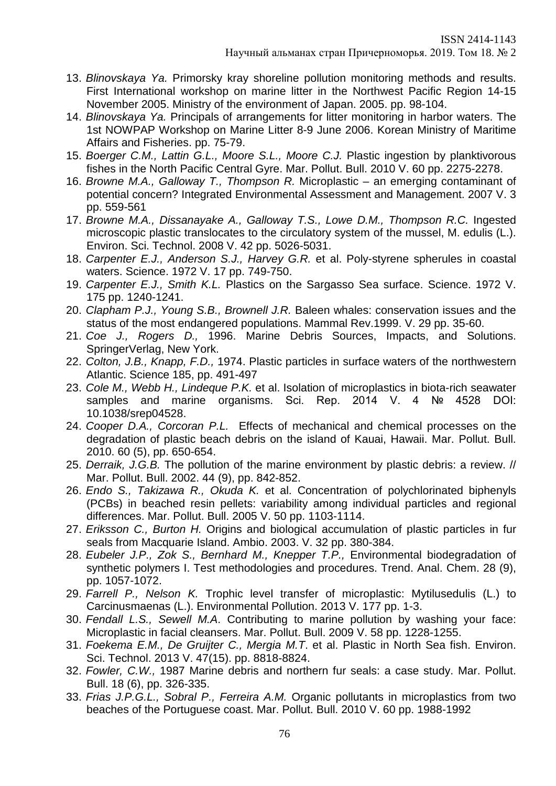- 13. *Blinovskaya Ya.* Primorsky kray shoreline pollution monitoring methods and results. First International workshop on marine litter in the Northwest Pacific Region 14-15 November 2005. Ministry of the environment of Japan. 2005. pp. 98-104.
- 14. *Blinovskaya Ya.* Principals of arrangements for litter monitoring in harbor waters. The 1st NOWPAP Workshop on Marine Litter 8-9 June 2006. Korean Ministry of Maritime Affairs and Fisheries. pp. 75-79.
- 15. *Boerger C.M., Lattin G.L., Moore S.L., Moore C.J.* Plastic ingestion by planktivorous fishes in the North Pacific Central Gyre. Mar. Pollut. Bull. 2010 V. 60 pp. 2275-2278.
- 16. *Browne M.A., Galloway T., Thompson R.* Microplastic an emerging contaminant of potential concern? Integrated Environmental Assessment and Management. 2007 V. 3 pp. 559-561
- 17. *Browne M.A., Dissanayake A., Galloway T.S., Lowe D.M., Thompson R.C.* Ingested microscopic plastic translocates to the circulatory system of the mussel, M. edulis (L.). Environ. Sci. Technol. 2008 V. 42 pp. 5026-5031.
- 18. *Carpenter E.J., Anderson S.J., Harvey G.R.* et al. Poly-styrene spherules in coastal waters. Science. 1972 V. 17 pp. 749-750.
- 19. *Carpenter E.J., Smith K.L.* Plastics on the Sargasso Sea surface. Science. 1972 V. 175 pp. 1240-1241.
- 20. *Clapham P.J., Young S.B., Brownell J.R.* Baleen whales: conservation issues and the status of the most endangered populations. Mammal Rev.1999. V. 29 pp. 35-60.
- 21. *Coe J., Rogers D.,* 1996. Marine Debris Sources, Impacts, and Solutions. SpringerVerlag, New York.
- 22. *Colton, J.B., Knapp, F.D.,* 1974. Plastic particles in surface waters of the northwestern Atlantic. Science 185, pp. 491-497
- 23. *Cole M., Webb H., Lindeque P.K.* et al. Isolation of microplastics in biota-rich seawater samples and marine organisms. Sci. Rep. 2014 V. 4 Nº 4528 DOI: 10.1038/srep04528.
- 24. *Cooper D.A., Corcoran P.L.* Effects of mechanical and chemical processes on the degradation of plastic beach debris on the island of Kauai, Hawaii. Mar. Pollut. Bull. 2010. 60 (5), pp. 650-654.
- 25. *Derraik, J.G.B.* The pollution of the marine environment by plastic debris: a review. // Mar. Pollut. Bull. 2002. 44 (9), pp. 842-852.
- 26. *Endo S., Takizawa R., Okuda K.* et al. Concentration of polychlorinated biphenyls (PCBs) in beached resin pellets: variability among individual particles and regional differences. Mar. Pollut. Bull. 2005 V. 50 pp. 1103-1114.
- 27. *Eriksson C., Burton H.* Origins and biological accumulation of plastic particles in fur seals from Macquarie Island. Ambio. 2003. V. 32 pp. 380-384.
- 28. *Eubeler J.P., Zok S., Bernhard M., Knepper T.P.,* Environmental biodegradation of synthetic polymers I. Test methodologies and procedures. Trend. Anal. Chem. 28 (9), pp. 1057-1072.
- 29. *Farrell P., Nelson K.* Trophic level transfer of microplastic: Mytilusedulis (L.) to Carcinusmaenas (L.). Environmental Pollution. 2013 V. 177 pp. 1-3.
- 30. *Fendall L.S., Sewell M.A*. Contributing to marine pollution by washing your face: Microplastic in facial cleansers. Mar. Pollut. Bull. 2009 V. 58 pp. 1228-1255.
- 31. *Foekema E.M., De Gruijter C., Mergia M.T*. et al. Plastic in North Sea fish. Environ. Sci. Technol. 2013 V. 47(15). pp. 8818-8824.
- 32. *Fowler, C.W.,* 1987 Marine debris and northern fur seals: a case study. Mar. Pollut. Bull. 18 (6), pp. 326-335.
- 33. *Frias J.P.G.L., Sobral P., Ferreira A.M.* Organic pollutants in microplastics from two beaches of the Portuguese coast. Mar. Pollut. Bull. 2010 V. 60 pp. 1988-1992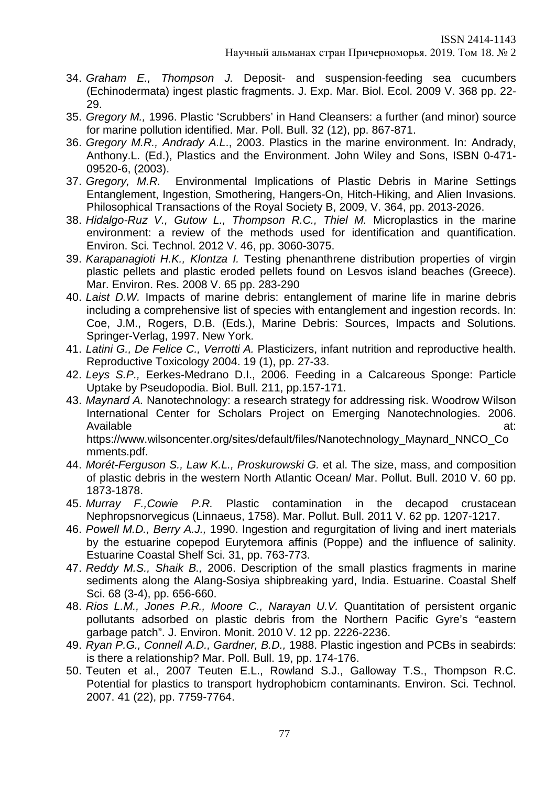- 34. *Graham E., Thompson J.* Deposit- and suspension-feeding sea cucumbers (Echinodermata) ingest plastic fragments. J. Exp. Mar. Biol. Ecol. 2009 V. 368 pp. 22- 29.
- 35. *Gregory M.,* 1996. Plastic 'Scrubbers' in Hand Cleansers: a further (and minor) source for marine pollution identified. Mar. Poll. Bull. 32 (12), pp. 867-871.
- 36. *Gregory M.R., Andrady A.L*., 2003. Plastics in the marine environment. In: Andrady, Anthony.L. (Ed.), Plastics and the Environment. John Wiley and Sons, ISBN 0-471- 09520-6, (2003).
- 37. *Gregory, M.R.* Environmental Implications of Plastic Debris in Marine Settings Entanglement, Ingestion, Smothering, Hangers-On, Hitch-Hiking, and Alien Invasions. Philosophical Transactions of the Royal Society B, 2009, V. 364, pp. 2013-2026.
- 38. *Hidalgo-Ruz V., Gutow L., Thompson R.C., Thiel M.* Microplastics in the marine environment: a review of the methods used for identification and quantification. Environ. Sci. Technol. 2012 V. 46, pp. 3060-3075.
- 39. *Karapanagioti H.K., Klontza I.* Testing phenanthrene distribution properties of virgin plastic pellets and plastic eroded pellets found on Lesvos island beaches (Greece). Mar. Environ. Res. 2008 V. 65 pp. 283-290
- 40. *Laist D.W.* Impacts of marine debris: entanglement of marine life in marine debris including a comprehensive list of species with entanglement and ingestion records. In: Coe, J.M., Rogers, D.B. (Eds.), Marine Debris: Sources, Impacts and Solutions. Springer-Verlag, 1997. New York.
- 41. *Latini G., De Felice C., Verrotti A.* Plasticizers, infant nutrition and reproductive health. Reproductive Toxicology 2004. 19 (1), pp. 27-33.
- 42. *Leys S.P.,* Eerkes-Medrano D.I., 2006. Feeding in a Calcareous Sponge: Particle Uptake by Pseudopodia. Biol. Bull. 211, pp.157-171.
- 43. *Maynard A.* Nanotechnology: a research strategy for addressing risk. Woodrow Wilson International Center for Scholars Project on Emerging Nanotechnologies. 2006. Available at:

[https://www.wilsoncenter.org/sites/default/files/Nanotechnology\\_Maynard\\_NNCO\\_Co](https://www.wilsoncenter.org/sites/default/files/Nanotechnology_Maynard_NNCO_Comments.pdf) [mments.pdf.](https://www.wilsoncenter.org/sites/default/files/Nanotechnology_Maynard_NNCO_Comments.pdf)

- 44. *Morét-Ferguson S., Law K.L., Proskurowski G.* et al. The size, mass, and composition of plastic debris in the western North Atlantic Ocean/ Mar. Pollut. Bull. 2010 V. 60 pp. 1873-1878.
- 45. *Murray F.,Cowie P.R.* Plastic contamination in the decapod crustacean Nephropsnorvegicus (Linnaeus, 1758). Mar. Pollut. Bull. 2011 V. 62 pp. 1207-1217.
- 46. *Powell M.D., Berry A.J.,* 1990. Ingestion and regurgitation of living and inert materials by the estuarine copepod Eurytemora affinis (Poppe) and the influence of salinity. Estuarine Coastal Shelf Sci. 31, pp. 763-773.
- 47. *Reddy M.S., Shaik B.,* 2006. Description of the small plastics fragments in marine sediments along the Alang-Sosiya shipbreaking yard, India. Estuarine. Coastal Shelf Sci. 68 (3-4), pp. 656-660.
- 48. *Rios L.M., Jones P.R., Moore C., Narayan U.V.* Quantitation of persistent organic pollutants adsorbed on plastic debris from the Northern Pacific Gyre's "eastern garbage patch". J. Environ. Monit. 2010 V. 12 pp. 2226-2236.
- 49. *Ryan P.G., Connell A.D., Gardner, B.D.,* 1988. Plastic ingestion and PCBs in seabirds: is there a relationship? Mar. Poll. Bull. 19, pp. 174-176.
- 50. Teuten et al., 2007 Teuten E.L., Rowland S.J., Galloway T.S., Thompson R.C. Potential for plastics to transport hydrophobicm contaminants. Environ. Sci. Technol. 2007. 41 (22), pp. 7759-7764.